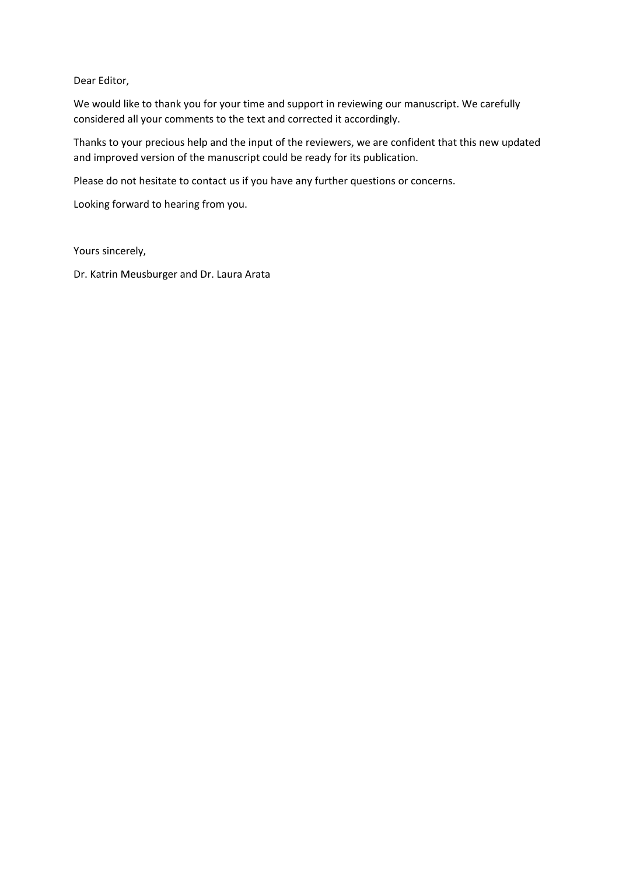Dear Editor,

We would like to thank you for your time and support in reviewing our manuscript. We carefully considered all your comments to the text and corrected it accordingly.

Thanks to your precious help and the input of the reviewers, we are confident that this new updated and improved version of the manuscript could be ready for its publication.

Please do not hesitate to contact us if you have any further questions or concerns.

Looking forward to hearing from you.

Yours sincerely,

Dr. Katrin Meusburger and Dr. Laura Arata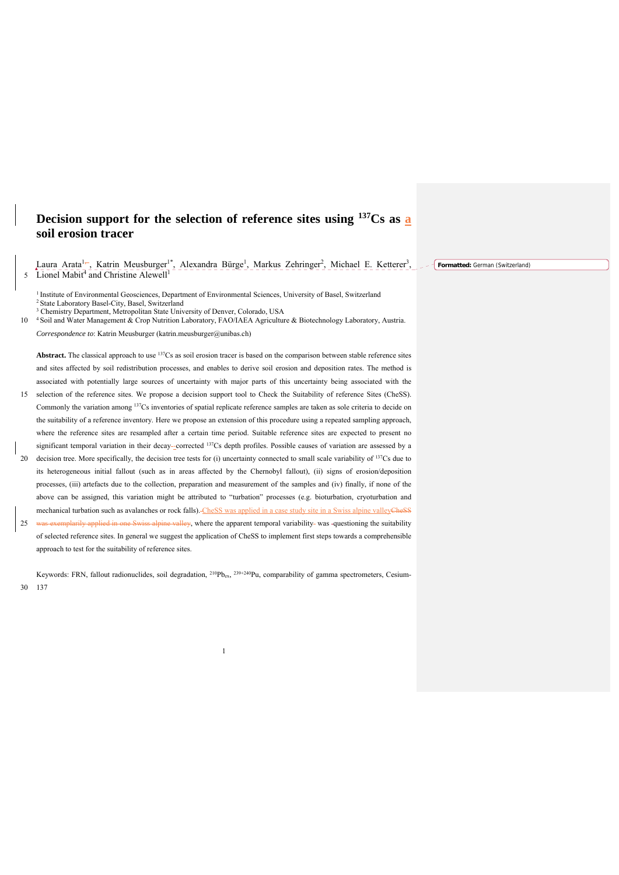# **Decision support for the selection of reference sites using 137Cs as a soil erosion tracer**

Laura Arata<sup>1</sup>, Katrin Meusburger<sup>1\*</sup>, Alexandra Bürge<sup>1</sup>, Markus Zehringer<sup>2</sup>, Michael E. Ketterer<sup>3</sup>, 22 Formatted: German (Switzerland) 5 Lionel Mabit<sup>4</sup> and Christine Alewell<sup>1</sup>

<sup>1</sup> Institute of Environmental Geosciences, Department of Environmental Sciences, University of Basel, Switzerland <sup>2</sup> State Laboratory Basel-City, Basel, Switzerland <sup>3</sup> Chemistry Department, Metropolitan State University of Denver, Colorado, USA

10 <sup>4</sup> Soil and Water Management & Crop Nutrition Laboratory, FAO/IAEA Agriculture & Biotechnology Laboratory, Austria. *Correspondence to*: Katrin Meusburger (katrin.meusburger@unibas.ch)

Abstract. The classical approach to use <sup>137</sup>Cs as soil erosion tracer is based on the comparison between stable reference sites and sites affected by soil redistribution processes, and enables to derive soil erosion and deposition rates. The method is associated with potentially large sources of uncertainty with major parts of this uncertainty being associated with the

- 15 selection of the reference sites. We propose a decision support tool to Check the Suitability of reference Sites (CheSS). Commonly the variation among 137Cs inventories of spatial replicate reference samples are taken as sole criteria to decide on the suitability of a reference inventory. Here we propose an extension of this procedure using a repeated sampling approach, where the reference sites are resampled after a certain time period. Suitable reference sites are expected to present no significant temporal variation in their decay-corrected <sup>137</sup>Cs depth profiles. Possible causes of variation are assessed by a
- 20 decision tree. More specifically, the decision tree tests for (i) uncertainty connected to small scale variability of  $137$ Cs due to its heterogeneous initial fallout (such as in areas affected by the Chernobyl fallout), (ii) signs of erosion/deposition processes, (iii) artefacts due to the collection, preparation and measurement of the samples and (iv) finally, if none of the above can be assigned, this variation might be attributed to "turbation" processes (e.g. bioturbation, cryoturbation and mechanical turbation such as avalanches or rock falls). CheSS was applied in a case study site in a Swiss alpine valleyCheSS
- 25 was exemplarily applied in one Swiss alpine valley, where the apparent temporal variability-was -questioning the suitability of selected reference sites. In general we suggest the application of CheSS to implement first steps towards a comprehensible approach to test for the suitability of reference sites.

Keywords: FRN, fallout radionuclides, soil degradation,  $^{210}Pb_{ex}$ ,  $^{239+240}Pu$ , comparability of gamma spectrometers, Cesium-30 137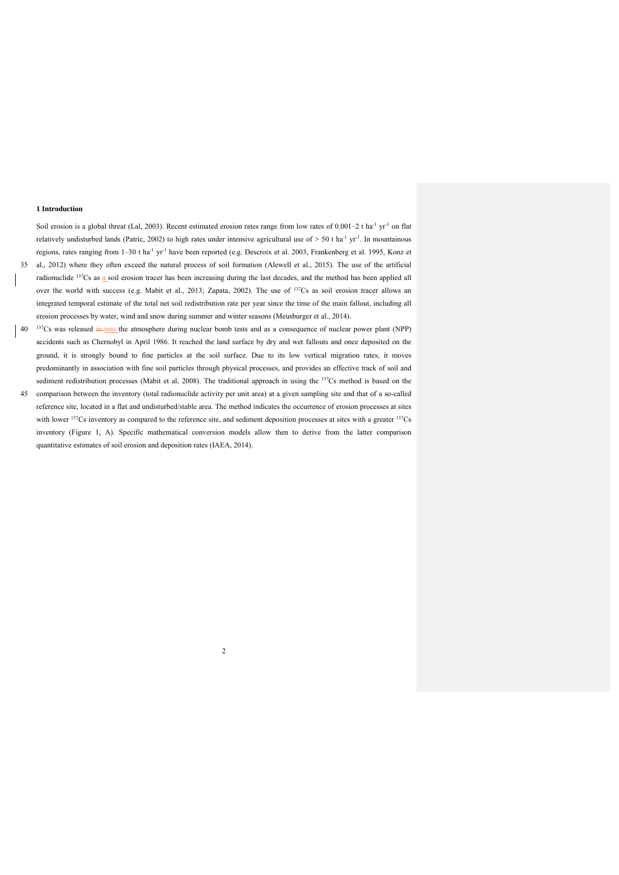### **1 Introduction**

Soil erosion is a global threat (Lal, 2003). Recent estimated erosion rates range from low rates of  $0.001-2$  t ha<sup>-1</sup> yr<sup>-1</sup> on flat relatively undisturbed lands (Patric, 2002) to high rates under intensive agricultural use of  $> 50$  t ha<sup>-1</sup> yr<sup>-1</sup>. In mountainous regions, rates ranging from 1–30 t ha-1 yr-1 have been reported (e.g. Descroix et al. 2003, Frankenberg et al. 1995, Konz et 35 al., 2012) where they often exceed the natural process of soil formation (Alewell et al., 2015). The use of the artificial

- radionuclide <sup>137</sup>Cs as a soil erosion tracer has been increasing during the last decades, and the method has been applied all over the world with success (e.g. Mabit et al., 2013; Zapata, 2002). The use of <sup>137</sup>Cs as soil erosion tracer allows an integrated temporal estimate of the total net soil redistribution rate per year since the time of the main fallout, including all erosion processes by water, wind and snow during summer and winter seasons (Meusburger et al., 2014).
- $137Cs$  was released in into the atmosphere during nuclear bomb tests and as a consequence of nuclear power plant (NPP) accidents such as Chernobyl in April 1986. It reached the land surface by dry and wet fallouts and once deposited on the ground, it is strongly bound to fine particles at the soil surface. Due to its low vertical migration rates, it moves predominantly in association with fine soil particles through physical processes, and provides an effective track of soil and sediment redistribution processes (Mabit et al, 2008). The traditional approach in using the 137Cs method is based on the
- 45 comparison between the inventory (total radionuclide activity per unit area) at a given sampling site and that of a so-called reference site, located in a flat and undisturbed/stable area. The method indicates the occurrence of erosion processes at sites with lower <sup>137</sup>Cs inventory as compared to the reference site, and sediment deposition processes at sites with a greater <sup>137</sup>Cs inventory (Figure 1, A). Specific mathematical conversion models allow then to derive from the latter comparison quantitative estimates of soil erosion and deposition rates (IAEA, 2014).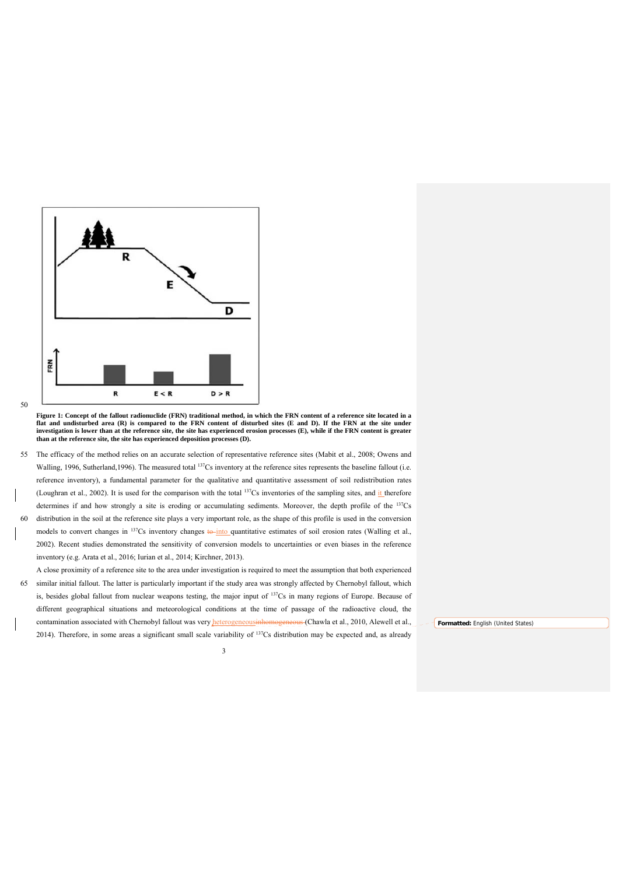

<sup>50</sup> 

**Figure 1: Concept of the fallout radionuclide (FRN) traditional method, in which the FRN content of a reference site located in a flat and undisturbed area (R) is compared to the FRN content of disturbed sites (E and D). If the FRN at the site under investigation is lower than at the reference site, the site has experienced erosion processes (E), while if the FRN content is greater than at the reference site, the site has experienced deposition processes (D).** 

55 The efficacy of the method relies on an accurate selection of representative reference sites (Mabit et al., 2008; Owens and Walling, 1996, Sutherland, 1996). The measured total <sup>137</sup>Cs inventory at the reference sites represents the baseline fallout (i.e. reference inventory), a fundamental parameter for the qualitative and quantitative assessment of soil redistribution rates (Loughran et al., 2002). It is used for the comparison with the total  $137Cs$  inventories of the sampling sites, and it therefore determines if and how strongly a site is eroding or accumulating sediments. Moreover, the depth profile of the 137Cs 60 distribution in the soil at the reference site plays a very important role, as the shape of this profile is used in the conversion models to convert changes in  $137Cs$  inventory changes  $\frac{1}{10}$  quantitative estimates of soil erosion rates (Walling et al., 2002). Recent studies demonstrated the sensitivity of conversion models to uncertainties or even biases in the reference

inventory (e.g. Arata et al., 2016; Iurian et al., 2014; Kirchner, 2013).

A close proximity of a reference site to the area under investigation is required to meet the assumption that both experienced 65 similar initial fallout. The latter is particularly important if the study area was strongly affected by Chernobyl fallout, which is, besides global fallout from nuclear weapons testing, the major input of 137Cs in many regions of Europe. Because of different geographical situations and meteorological conditions at the time of passage of the radioactive cloud, the contamination associated with Chernobyl fallout was very heterogeneousinhomogeneous (Chawla et al., 2010, Alewell et al., 2014). Therefore, in some areas a significant small scale variability of 137Cs distribution may be expected and, as already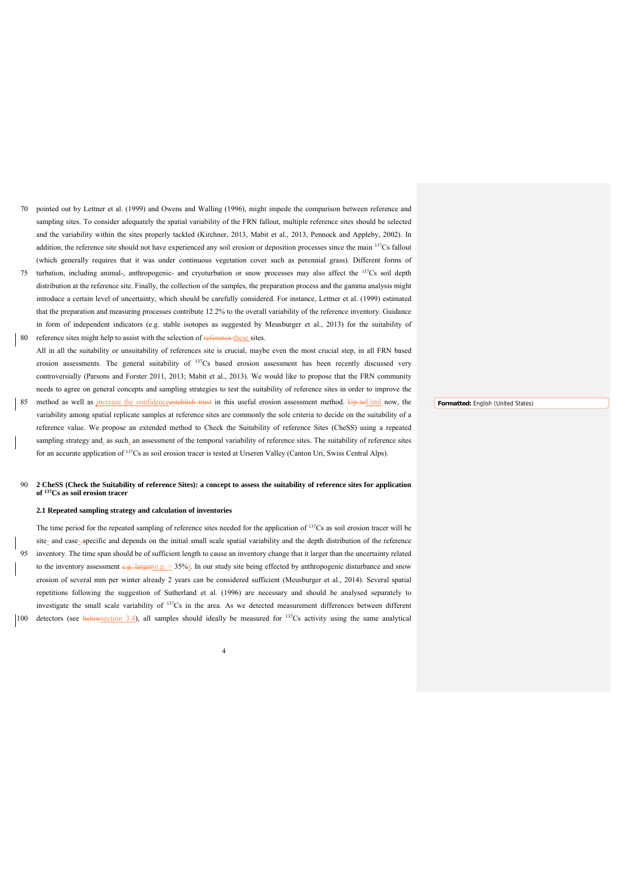- 70 pointed out by Lettner et al. (1999) and Owens and Walling (1996), might impede the comparison between reference and sampling sites. To consider adequately the spatial variability of the FRN fallout, multiple reference sites should be selected and the variability within the sites properly tackled (Kirchner, 2013, Mabit et al., 2013, Pennock and Appleby, 2002). In addition, the reference site should not have experienced any soil erosion or deposition processes since the main <sup>137</sup>Cs fallout (which generally requires that it was under continuous vegetation cover such as perennial grass). Different forms of
- 75 turbation, including animal-, anthropogenic- and cryoturbation or snow processes may also affect the <sup>137</sup>Cs soil depth distribution at the reference site. Finally, the collection of the samples, the preparation process and the gamma analysis might introduce a certain level of uncertainty, which should be carefully considered. For instance, Lettner et al. (1999) estimated that the preparation and measuring processes contribute 12.2% to the overall variability of the reference inventory. Guidance in form of independent indicators (e.g. stable isotopes as suggested by Meusburger et al., 2013) for the suitability of
- 80 reference sites might help to assist with the selection of reference these sites. All in all the suitability or unsuitability of references site is crucial, maybe even the most crucial step, in all FRN based erosion assessments. The general suitability of <sup>137</sup>Cs based erosion assessment has been recently discussed very controversially (Parsons and Forster 2011, 2013; Mabit et al., 2013). We would like to propose that the FRN community needs to agree on general concepts and sampling strategies to test the suitability of reference sites in order to improve the
- method as well as increase the confidenceestablish trust in this useful erosion assessment method. Up toUntil now, the variability among spatial replicate samples at reference sites are commonly the sole criteria to decide on the suitability of a reference value. We propose an extended method to Check the Suitability of reference Sites (CheSS) using a repeated sampling strategy and, as such, an assessment of the temporal variability of reference sites. The suitability of reference sites for an accurate application of 137Cs as soil erosion tracer is tested at Urseren Valley (Canton Uri, Swiss Central Alps).

# 90 **2 CheSS (Check the Suitability of reference Sites): a concept to assess the suitability of reference sites for application of 137Cs as soil erosion tracer**

# **2.1 Repeated sampling strategy and calculation of inventories**

The time period for the repeated sampling of reference sites needed for the application of  $137Cs$  as soil erosion tracer will be site<sub>-</sub> and case-specific and depends on the initial small scale spatial variability and the depth distribution of the reference 95 inventory. The time span should be of sufficient length to cause an inventory change that it larger than the uncertainty related to the inventory assessment  $e.g.$  larger( $e.g. \ge 35\%$ ). In our study site being effected by anthropogenic disturbance and snow erosion of several mm per winter already 2 years can be considered sufficient (Meusburger et al., 2014). Several spatial repetitions following the suggestion of Sutherland et al. (1996) are necessary and should be analysed separately to investigate the small scale variability of <sup>137</sup>Cs in the area. As we detected measurement differences between different 100 detectors (see belowsection 3.4), all samples should ideally be measured for  $137Cs$  activity using the same analytical

4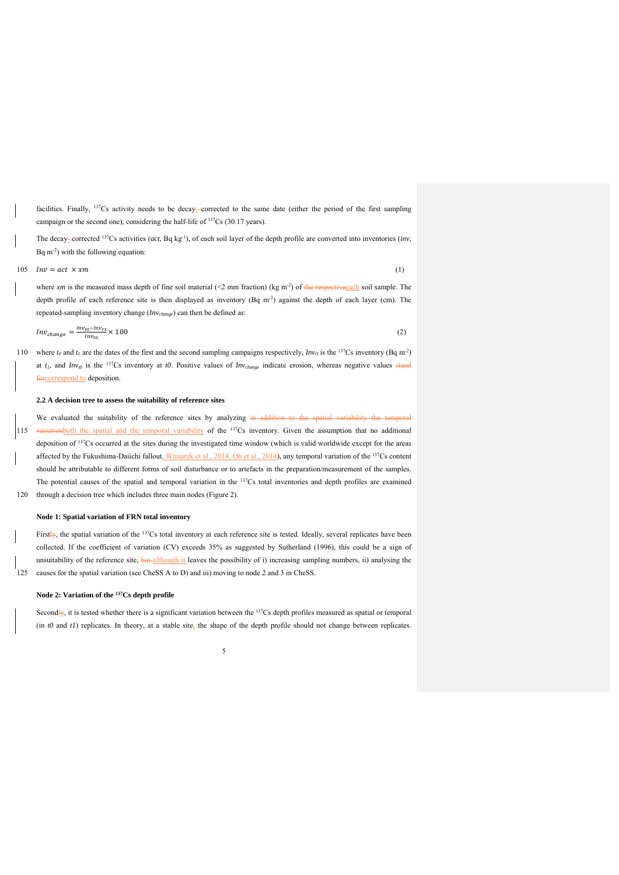facilities. Finally, <sup>137</sup>Cs activity needs to be decay--corrected to the same date (either the period of the first sampling campaign or the second one), considering the half-life of <sup>137</sup>Cs (30.17 years).

The decay-corrected <sup>137</sup>Cs activities (*act*, Bq kg<sup>-1</sup>), of each soil layer of the depth profile are converted into inventories (*inv*, Bq  $m^{-2}$ ) with the following equation:

 $\ln 105$   $\ln v = act \times xm$  (1)

where *xm* is the measured mass depth of fine soil material (<2 mm fraction) (kg m<sup>-2</sup>) of the respective cach soil sample. The depth profile of each reference site is then displayed as inventory (Bq m<sup>-2</sup>) against the depth of each layer (cm). The repeated-sampling inventory change (*Invchange*) can then be defined as:

$$
Inv_{change} = \frac{Inv_{to} - Inv_{t1}}{Inv_{to}} \times 100
$$
\n<sup>(2)</sup>

110 where  $t_0$  and  $t_1$  are the dates of the first and the second sampling campaigns respectively,  $Inv_{t1}$  is the <sup>137</sup>Cs inventory (Bq m<sup>-2</sup>) at  $t_1$ , and  $Inv_{i0}$  is the <sup>137</sup>Cs inventory at *t0*. Positive values of  $Inv_{change}$  indicate erosion, whereas negative values stand forcorrespond to deposition.

# **2.2 A decision tree to assess the suitability of reference sites**

We evaluated the suitability of the reference sites by analyzing in addition to the spatial variability the temporal

115 variationboth the spatial and the temporal variability of the  $137$ Cs inventory. Given the assumption that no additional deposition of 137Cs occurred at the sites during the investigated time window (which is valid worldwide except for the areas affected by the Fukushima-Daiichi fallout, Winiarek et al., 2014, Oh et al., 2014), any temporal variation of the <sup>137</sup>Cs content should be attributable to different forms of soil disturbance or to artefacts in the preparation/measurement of the samples. The potential causes of the spatial and temporal variation in the <sup>137</sup>Cs total inventories and depth profiles are examined 120 through a decision tree which includes three main nodes (Figure 2).

### **Node 1: Spatial variation of FRN total inventory**

Firstly, the spatial variation of the  $137Cs$  total inventory at each reference site is tested. Ideally, several replicates have been collected. If the coefficient of variation (CV) exceeds 35% as suggested by Sutherland (1996), this could be a sign of unsuitability of the reference site, but although it leaves the possibility of i) increasing sampling numbers, ii) analysing the 125 causes for the spatial variation (see CheSS A to D) and iii) moving to node 2 and 3 in CheSS.

### **Node 2: Variation of the 137Cs depth profile**

Secondly, it is tested whether there is a significant variation between the  $137Cs$  depth profiles measured as spatial or temporal (in *t0* and *t1*) replicates. In theory, at a stable site, the shape of the depth profile should not change between replicates.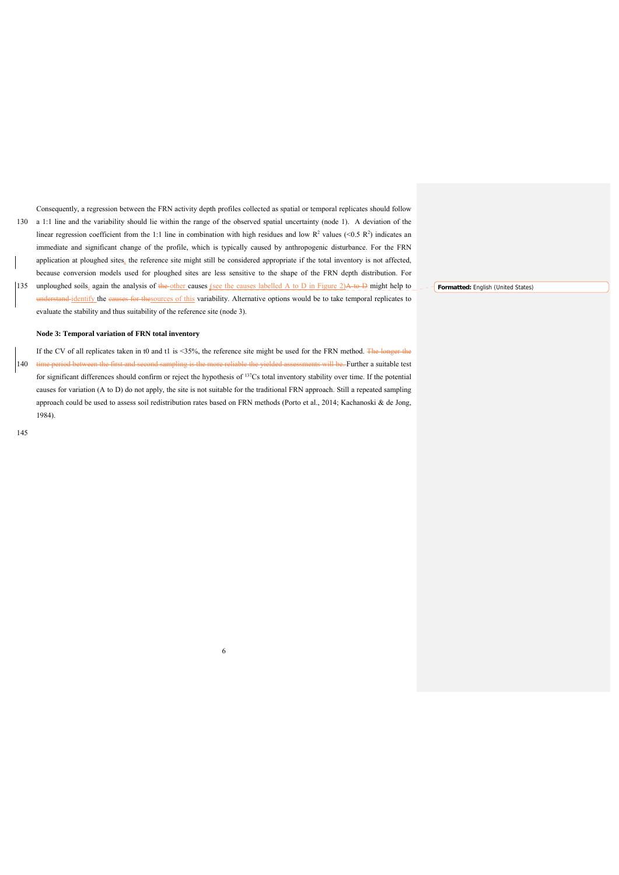Consequently, a regression between the FRN activity depth profiles collected as spatial or temporal replicates should follow 130 a 1:1 line and the variability should lie within the range of the observed spatial uncertainty (node 1). A deviation of the linear regression coefficient from the 1:1 line in combination with high residues and low  $R^2$  values (<0.5  $R^2$ ) indicates an immediate and significant change of the profile, which is typically caused by anthropogenic disturbance. For the FRN application at ploughed sites, the reference site might still be considered appropriate if the total inventory is not affected, because conversion models used for ploughed sites are less sensitive to the shape of the FRN depth distribution. For

135 unploughed soils, again the analysis of the other causes (see the causes labelled A to D in Figure 2) $\ddot{A}$  to  $\ddot{D}$  might help to understand identify the causes for thesources of this variability. Alternative options would be to take temporal replicates to evaluate the stability and thus suitability of the reference site (node 3).

# **Node 3: Temporal variation of FRN total inventory**

If the CV of all replicates taken in t0 and t1 is <35%, the reference site might be used for the FRN method. The longer the 140 time period between the first and second sampling is the more reliable the yielded assessments will be. Further a suitable test for significant differences should confirm or reject the hypothesis of <sup>137</sup>Cs total inventory stability over time. If the potential causes for variation (A to D) do not apply, the site is not suitable for the traditional FRN approach. Still a repeated sampling approach could be used to assess soil redistribution rates based on FRN methods (Porto et al., 2014; Kachanoski & de Jong, 1984).

6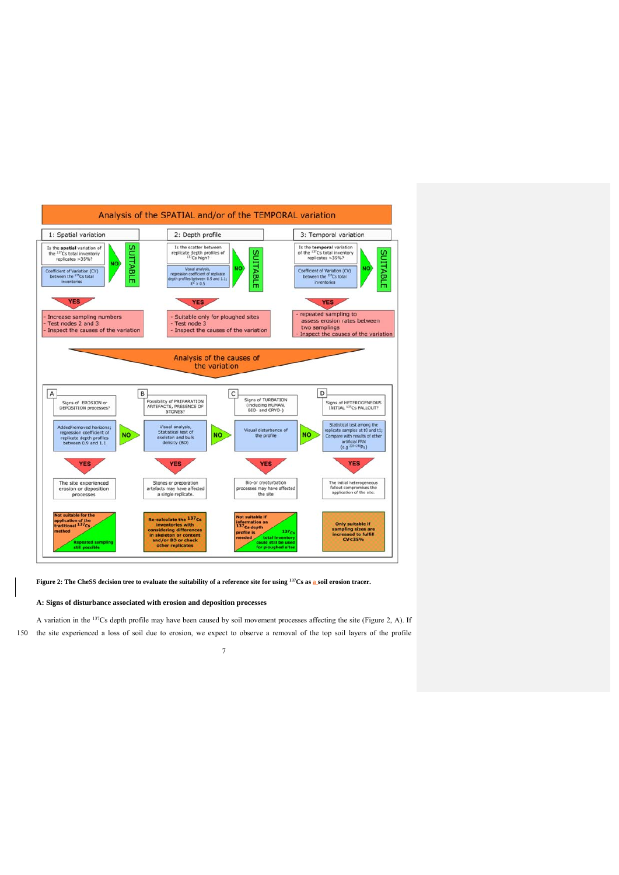

Figure 2: The CheSS decision tree to evaluate the suitability of a reference site for using <sup>137</sup>Cs as a soil erosion tracer.

# **A: Signs of disturbance associated with erosion and deposition processes**

A variation in the 137Cs depth profile may have been caused by soil movement processes affecting the site (Figure 2, A). If 150 the site experienced a loss of soil due to erosion, we expect to observe a removal of the top soil layers of the profile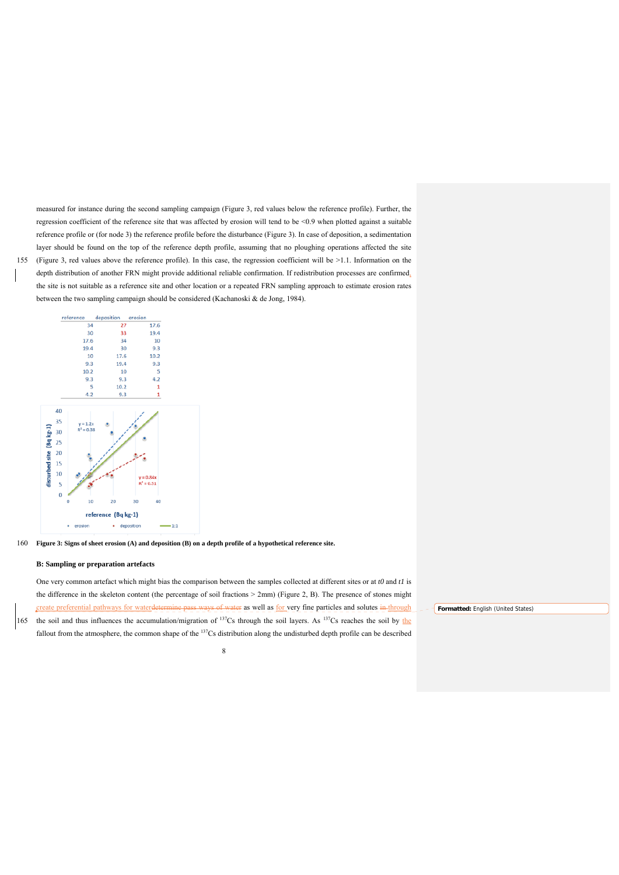measured for instance during the second sampling campaign (Figure 3, red values below the reference profile). Further, the regression coefficient of the reference site that was affected by erosion will tend to be <0.9 when plotted against a suitable reference profile or (for node 3) the reference profile before the disturbance (Figure 3). In case of deposition, a sedimentation layer should be found on the top of the reference depth profile, assuming that no ploughing operations affected the site 155 (Figure 3, red values above the reference profile). In this case, the regression coefficient will be >1.1. Information on the depth distribution of another FRN might provide additional reliable confirmation. If redistribution processes are confirmed,

the site is not suitable as a reference site and other location or a repeated FRN sampling approach to estimate erosion rates between the two sampling campaign should be considered (Kachanoski & de Jong, 1984).



160 **Figure 3: Signs of sheet erosion (A) and deposition (B) on a depth profile of a hypothetical reference site.** 

#### **B: Sampling or preparation artefacts**

One very common artefact which might bias the comparison between the samples collected at different sites or at *t0* and *t1* is the difference in the skeleton content (the percentage of soil fractions > 2mm) (Figure 2, B). The presence of stones might create preferential pathways for waterdetermine pass ways of water as well as for very fine particles and solutes in through 165 the soil and thus influences the accumulation/migration of  $137Cs$  through the soil layers. As  $137Cs$  reaches the soil by the fallout from the atmosphere, the common shape of the <sup>137</sup>Cs distribution along the undisturbed depth profile can be described

8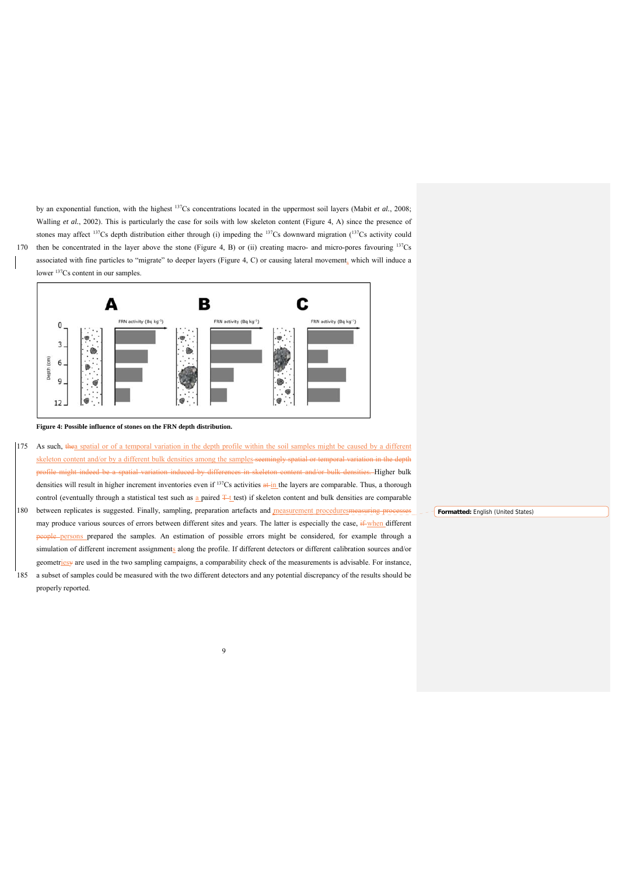by an exponential function, with the highest 137Cs concentrations located in the uppermost soil layers (Mabit *et al.*, 2008; Walling *et al.*, 2002). This is particularly the case for soils with low skeleton content (Figure 4, A) since the presence of stones may affect 137Cs depth distribution either through (i) impeding the 137Cs downward migration (137Cs activity could 170 then be concentrated in the layer above the stone (Figure 4, B) or (ii) creating macro- and micro-pores favouring  $137Cs$ associated with fine particles to "migrate" to deeper layers (Figure 4, C) or causing lateral movement, which will induce a lower <sup>137</sup>Cs content in our samples.



**Figure 4: Possible influence of stones on the FRN depth distribution.** 

- 175 As such, thea spatial or of a temporal variation in the depth profile within the soil samples might be caused by a different skeleton content and/or by a different bulk densities among the samples seemingly spatial or temporal variation in the depth profile might indeed be a spatial variation induced by differences in skeleton content and/or bulk densities. Higher bulk densities will result in higher increment inventories even if  $137Cs$  activities  $\frac{a+1}{b}$  the layers are comparable. Thus, a thorough control (eventually through a statistical test such as a paired  $T_t$  test) if skeleton content and bulk densities are comparable
- 180 between replicates is suggested. Finally, sampling, preparation artefacts and measurement proceduresmeasuring proce may produce various sources of errors between different sites and years. The latter is especially the case,  $\frac{1}{2}$  when different ple-persons prepared the samples. An estimation of possible errors might be considered, for example through a simulation of different increment assignments along the profile. If different detectors or different calibration sources and/or geometriesy are used in the two sampling campaigns, a comparability check of the measurements is advisable. For instance, 185 a subset of samples could be measured with the two different detectors and any potential discrepancy of the results should be
- properly reported.

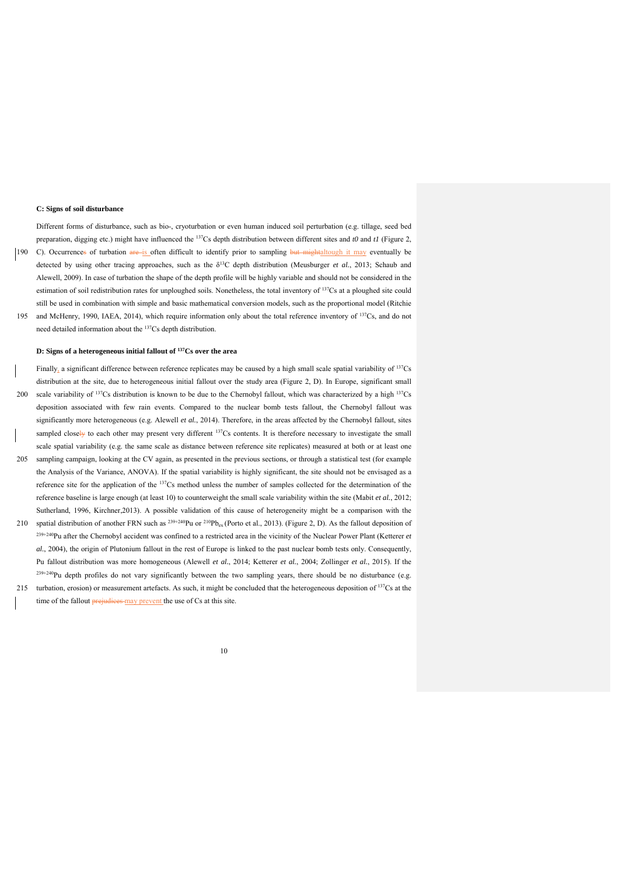### **C: Signs of soil disturbance**

Different forms of disturbance, such as bio-, cryoturbation or even human induced soil perturbation (e.g. tillage, seed bed preparation, digging etc.) might have influenced the 137Cs depth distribution between different sites and *t0* and *t1* (Figure 2, 190 C). Occurrences of turbation are is often difficult to identify prior to sampling but mightaltough it may eventually be detected by using other tracing approaches, such as the δ13C depth distribution (Meusburger *et al.*, 2013; Schaub and Alewell, 2009). In case of turbation the shape of the depth profile will be highly variable and should not be considered in the

estimation of soil redistribution rates for unploughed soils. Nonetheless, the total inventory of <sup>137</sup>Cs at a ploughed site could still be used in combination with simple and basic mathematical conversion models, such as the proportional model (Ritchie 195 and McHenry, 1990, IAEA, 2014), which require information only about the total reference inventory of <sup>137</sup>Cs, and do not need detailed information about the 137Cs depth distribution.

# **D: Signs of a heterogeneous initial fallout of 137Cs over the area**

Finally, a significant difference between reference replicates may be caused by a high small scale spatial variability of 137Cs distribution at the site, due to heterogeneous initial fallout over the study area (Figure 2, D). In Europe, significant small 200 scale variability of  $137Cs$  distribution is known to be due to the Chernobyl fallout, which was characterized by a high  $137Cs$ deposition associated with few rain events. Compared to the nuclear bomb tests fallout, the Chernobyl fallout was significantly more heterogeneous (e.g. Alewell *et al.*, 2014). Therefore, in the areas affected by the Chernobyl fallout, sites sampled closely to each other may present very different  $137Cs$  contents. It is therefore necessary to investigate the small scale spatial variability (e.g. the same scale as distance between reference site replicates) measured at both or at least one 205 sampling campaign, looking at the CV again, as presented in the previous sections, or through a statistical test (for example the Analysis of the Variance, ANOVA). If the spatial variability is highly significant, the site should not be envisaged as a reference site for the application of the 137Cs method unless the number of samples collected for the determination of the reference baseline is large enough (at least 10) to counterweight the small scale variability within the site (Mabit *et al.*, 2012; Sutherland, 1996, Kirchner,2013). A possible validation of this cause of heterogeneity might be a comparison with the

- 210 spatial distribution of another FRN such as  $^{239+240}$ Pu or  $^{210}Pb_{ex}$  (Porto et al., 2013). (Figure 2, D). As the fallout deposition of 239+240Pu after the Chernobyl accident was confined to a restricted area in the vicinity of the Nuclear Power Plant (Ketterer *et al.*, 2004), the origin of Plutonium fallout in the rest of Europe is linked to the past nuclear bomb tests only. Consequently, Pu fallout distribution was more homogeneous (Alewell *et al.*, 2014; Ketterer *et al.*, 2004; Zollinger *et al.*, 2015). If the  $239+240$ Pu depth profiles do not vary significantly between the two sampling years, there should be no disturbance (e.g.
- 215 turbation, erosion) or measurement artefacts. As such, it might be concluded that the heterogeneous deposition of  $137$ Cs at the time of the fallout prejudices may prevent the use of Cs at this site.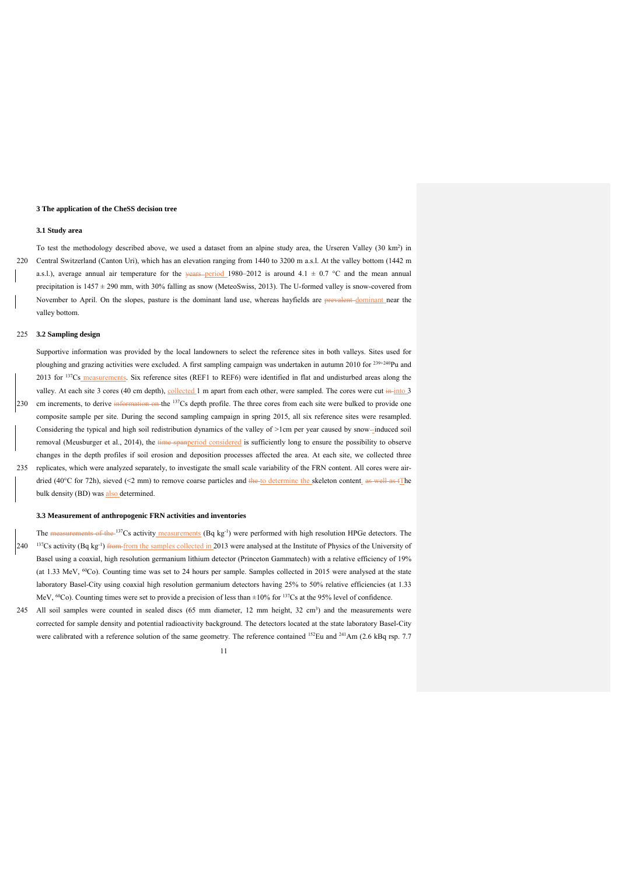# **3 The application of the CheSS decision tree**

#### **3.1 Study area**

To test the methodology described above, we used a dataset from an alpine study area, the Urseren Valley (30 km<sup>2</sup>) in 220 Central Switzerland (Canton Uri), which has an elevation ranging from 1440 to 3200 m a.s.l. At the valley bottom (1442 m a.s.l.), average annual air temperature for the years-period 1980–2012 is around 4.1  $\pm$  0.7 °C and the mean annual precipitation is  $1457 \pm 290$  mm, with 30% falling as snow (MeteoSwiss, 2013). The U-formed valley is snow-covered from November to April. On the slopes, pasture is the dominant land use, whereas hayfields are prevalent-dominant near the valley bottom.

# 225 **3.2 Sampling design**

Supportive information was provided by the local landowners to select the reference sites in both valleys. Sites used for ploughing and grazing activities were excluded. A first sampling campaign was undertaken in autumn 2010 for  $^{239+240}$ Pu and 2013 for <sup>137</sup>Cs measurements. Six reference sites (REF1 to REF6) were identified in flat and undisturbed areas along the valley. At each site 3 cores (40 cm depth), collected 1 m apart from each other, were sampled. The cores were cut in into 3 230 cm increments, to derive information on the <sup>137</sup>Cs depth profile. The three cores from each site were bulked to provide one composite sample per site. During the second sampling campaign in spring 2015, all six reference sites were resampled. Considering the typical and high soil redistribution dynamics of the valley of >1cm per year caused by snow -induced soil removal (Meusburger et al., 2014), the time spanperiod considered is sufficiently long to ensure the possibility to observe changes in the depth profiles if soil erosion and deposition processes affected the area. At each site, we collected three 235 replicates, which were analyzed separately, to investigate the small scale variability of the FRN content. All cores were airdried (40 $^{\circ}$ C for 72h), sieved (<2 mm) to remove coarse particles and the to determine the skeleton content. as well as  $\ell$ The bulk density (BD) was also determined.

# **3.3 Measurement of anthropogenic FRN activities and inventories**

- The measurements of the 137Cs activity measurements (Bq kg<sup>-1</sup>) were performed with high resolution HPGe detectors. The 240 <sup>137</sup>Cs activity (Bq kg<sup>-1</sup>) from from the samples collected in 2013 were analysed at the Institute of Physics of the University of Basel using a coaxial, high resolution germanium lithium detector (Princeton Gammatech) with a relative efficiency of 19% (at 1.33 MeV, 60Co). Counting time was set to 24 hours per sample. Samples collected in 2015 were analysed at the state laboratory Basel-City using coaxial high resolution germanium detectors having 25% to 50% relative efficiencies (at 1.33 MeV,  $^{60}$ Co). Counting times were set to provide a precision of less than  $\pm 10\%$  for <sup>137</sup>Cs at the 95% level of confidence.
- 245 All soil samples were counted in sealed discs  $(65 \text{ mm diameter}, 12 \text{ mm height}, 32 \text{ cm}^3)$  and the measurements were corrected for sample density and potential radioactivity background. The detectors located at the state laboratory Basel-City were calibrated with a reference solution of the same geometry. The reference contained  $^{152}$ Eu and  $^{241}$ Am (2.6 kBq rsp. 7.7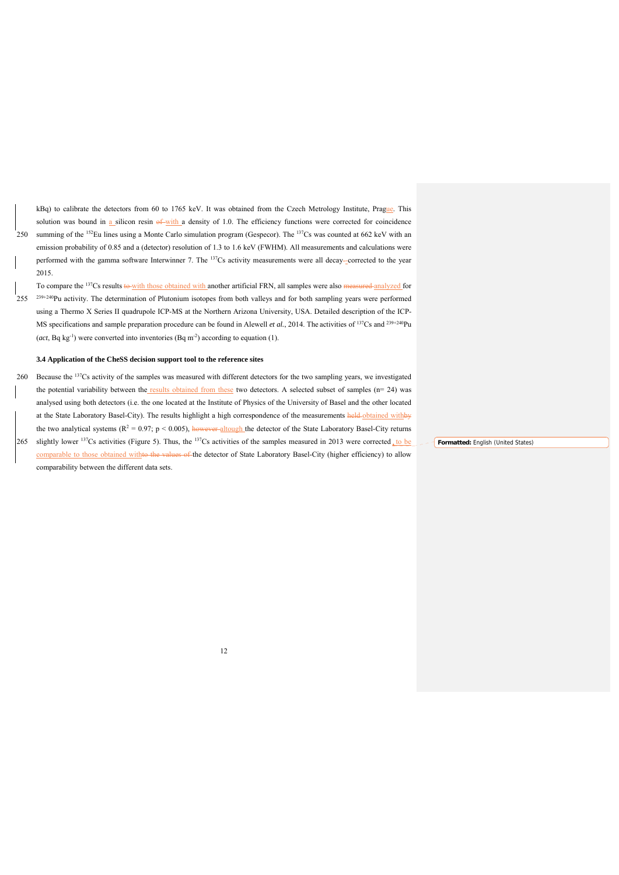kBq) to calibrate the detectors from 60 to 1765 keV. It was obtained from the Czech Metrology Institute, Prague. This solution was bound in  $\underline{a}$  silicon resin  $\theta$  with a density of 1.0. The efficiency functions were corrected for coincidence 250 summing of the  $152$ Eu lines using a Monte Carlo simulation program (Gespecor). The  $137$ Cs was counted at 662 keV with an emission probability of 0.85 and a (detector) resolution of 1.3 to 1.6 keV (FWHM). All measurements and calculations were performed with the gamma software Interwinner 7. The 137Cs activity measurements were all decay--corrected to the year 2015.

To compare the <sup>137</sup>Cs results to with those obtained with another artificial FRN, all samples were also <del>measured analyzed</del> for  $255$   $239+240$ Pu activity. The determination of Plutonium isotopes from both valleys and for both sampling years were performed using a Thermo X Series II quadrupole ICP-MS at the Northern Arizona University, USA. Detailed description of the ICP-MS specifications and sample preparation procedure can be found in Alewell *et al.*, 2014. The activities of <sup>137</sup>Cs and <sup>239+240</sup>Pu (*act*, Bq kg<sup>-1</sup>) were converted into inventories (Bq m<sup>-2</sup>) according to equation (1).

### **3.4 Application of the CheSS decision support tool to the reference sites**

260 Because the <sup>137</sup>Cs activity of the samples was measured with different detectors for the two sampling years, we investigated the potential variability between the results obtained from these two detectors. A selected subset of samples  $(n= 24)$  was analysed using both detectors (i.e. the one located at the Institute of Physics of the University of Basel and the other located at the State Laboratory Basel-City). The results highlight a high correspondence of the measurements held-obtained withby the two analytical systems  $(R^2 = 0.97; p < 0.005)$ , however altough the detector of the State Laboratory Basel-City returns

265 slightly lower <sup>137</sup>Cs activities (Figure 5). Thus, the <sup>137</sup>Cs activities of the samples measured in 2013 were corrected to be comparable to those obtained withto the values of the detector of State Laboratory Basel-City (higher efficiency) to allow comparability between the different data sets.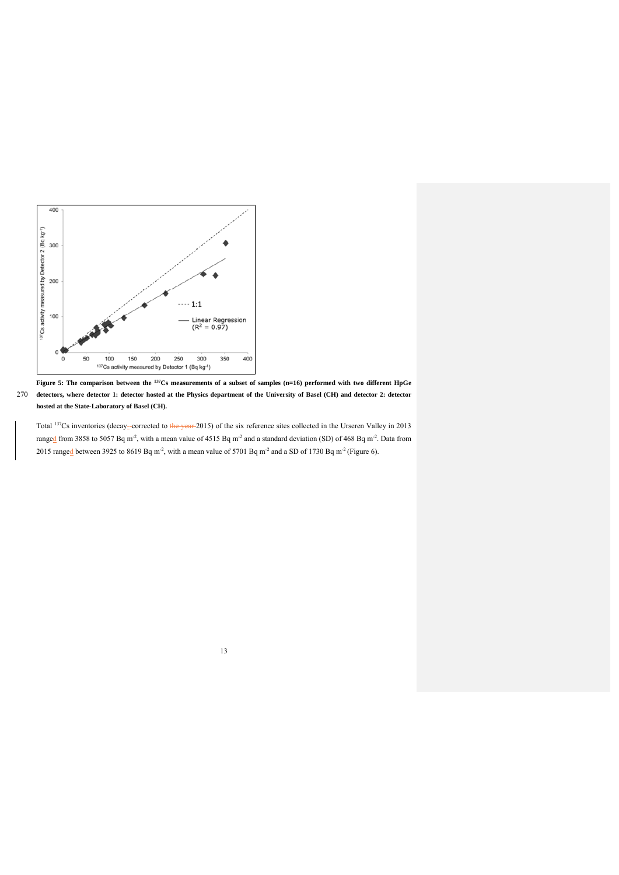

**Figure 5: The comparison between the 137Cs measurements of a subset of samples (n=16) performed with two different HpGe**  270 **detectors, where detector 1: detector hosted at the Physics department of the University of Basel (CH) and detector 2: detector hosted at the State-Laboratory of Basel (CH).** 

Total <sup>137</sup>Cs inventories (decay-corrected to the year 2015) of the six reference sites collected in the Urseren Valley in 2013 ranged from 3858 to 5057 Bq m<sup>-2</sup>, with a mean value of 4515 Bq m<sup>-2</sup> and a standard deviation (SD) of 468 Bq m<sup>-2</sup>. Data from 2015 ranged between 3925 to 8619 Bq m<sup>-2</sup>, with a mean value of 5701 Bq m<sup>-2</sup> and a SD of 1730 Bq m<sup>-2</sup> (Figure 6).

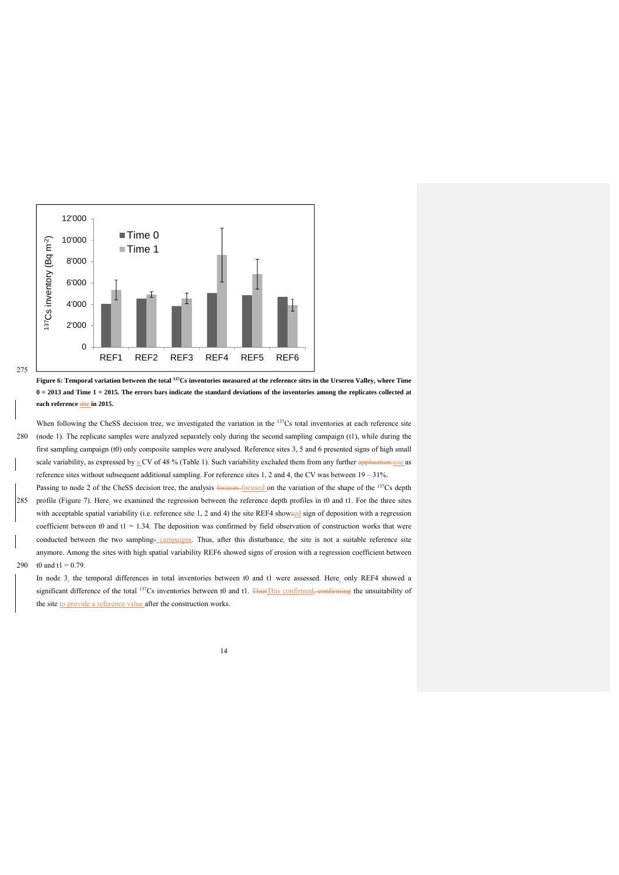

**Figure 6: Temporal variation between the total 137Cs inventories measured at the reference sites in the Urseren Valley, where Time**   $0 = 2013$  and Time  $1 = 2015$ . The errors bars indicate the standard deviations of the inventories among the replicates collected at **each reference site in 2015.** 

When following the CheSS decision tree, we investigated the variation in the <sup>137</sup>Cs total inventories at each reference site 280 (node 1). The replicate samples were analyzed separately only during the second sampling campaign (t1), while during the first sampling campaign (t0) only composite samples were analysed. Reference sites 3, 5 and 6 presented signs of high small scale variability, as expressed by a CV of 48 % (Table 1). Such variability excluded them from any further application use as reference sites without subsequent additional sampling. For reference sites 1, 2 and 4, the CV was between 19 – 31%.

Passing to node 2 of the CheSS decision tree, the analysis focuses-focused on the variation of the shape of the <sup>137</sup>Cs depth 285 profile (Figure 7). Here, we examined the regression between the reference depth profiles in t0 and t1. For the three sites with acceptable spatial variability (i.e. reference site 1, 2 and 4) the site REF4 showsed sign of deposition with a regression coefficient between t0 and t1 = 1.34. The deposition was confirmed by field observation of construction works that were conducted between the two samplings campaigns. Thus, after this disturbance, the site is not a suitable reference site anymore. Among the sites with high spatial variability REF6 showed signs of erosion with a regression coefficient between 290 t0 and  $t1 = 0.79$ .

In node 3, the temporal differences in total inventories between t0 and t1 were assessed. Here, only REF4 showed a significant difference of the total <sup>137</sup>Cs inventories between t0 and t1. ThusThis confirmed, confirming the unsuitability of the site to provide a reference value after the construction works.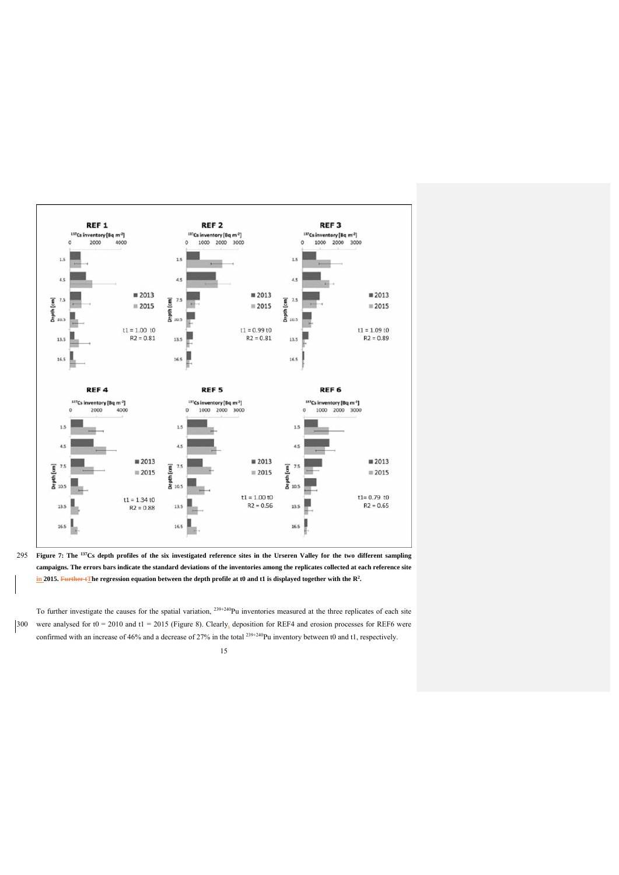

**Figure 7: The** 295 **137Cs depth profiles of the six investigated reference sites in the Urseren Valley for the two different sampling campaigns. The errors bars indicate the standard deviations of the inventories among the replicates collected at each reference site**  in 2015. Further tThe regression equation between the depth profile at t0 and t1 is displayed together with the R<sup>2</sup>.

To further investigate the causes for the spatial variation,  $^{239+240}$ Pu inventories measured at the three replicates of each site 300 were analysed for t0 = 2010 and t1 = 2015 (Figure 8). Clearly, deposition for REF4 and erosion processes for REF6 were confirmed with an increase of 46% and a decrease of 27% in the total <sup>239+240</sup>Pu inventory between t0 and t1, respectively.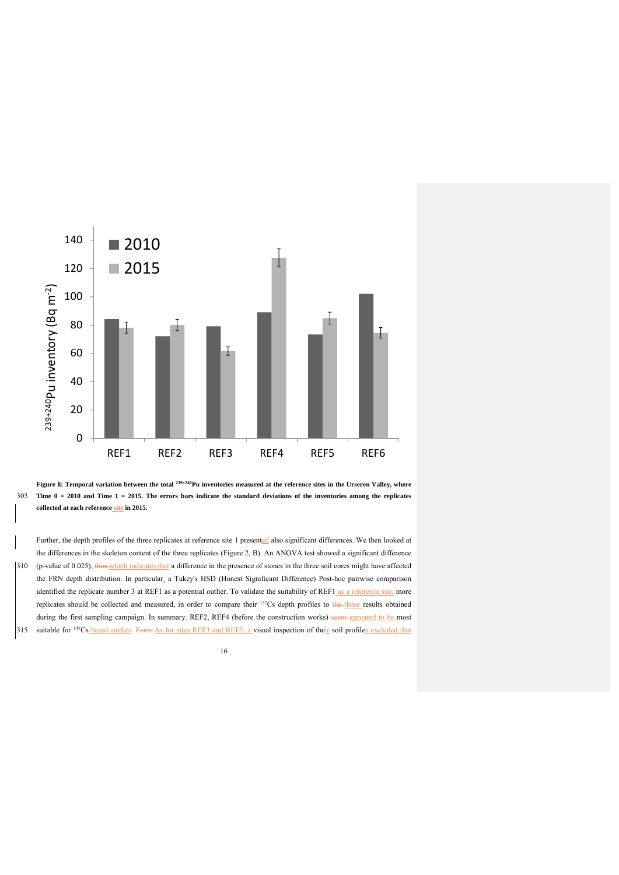



Further, the depth profiles of the three replicates at reference site 1 presented also significant differences. We then looked at the differences in the skeleton content of the three replicates (Figure 2, B). An ANOVA test showed a significant difference 310 (p-value of 0.025), thus,which indicates that a difference in the presence of stones in the three soil cores might have affected the FRN depth distribution. In particular, a Tukey's HSD (Honest Significant Difference) Post-hoc pairwise comparison identified the replicate number 3 at REF1 as a potential outlier. To validate the suitability of REF1 as a reference site, more replicates should be collected and measured, in order to compare their  $137Cs$  depth profiles to the those results obtained during the first sampling campaign. In summary, REF2, REF4 (before the construction works) seem-appeared to be most 315 suitable for <sup>137</sup>Cs-based studies. Form As for sites REF3 and REF5, a visual inspection of their soil profiles excluded that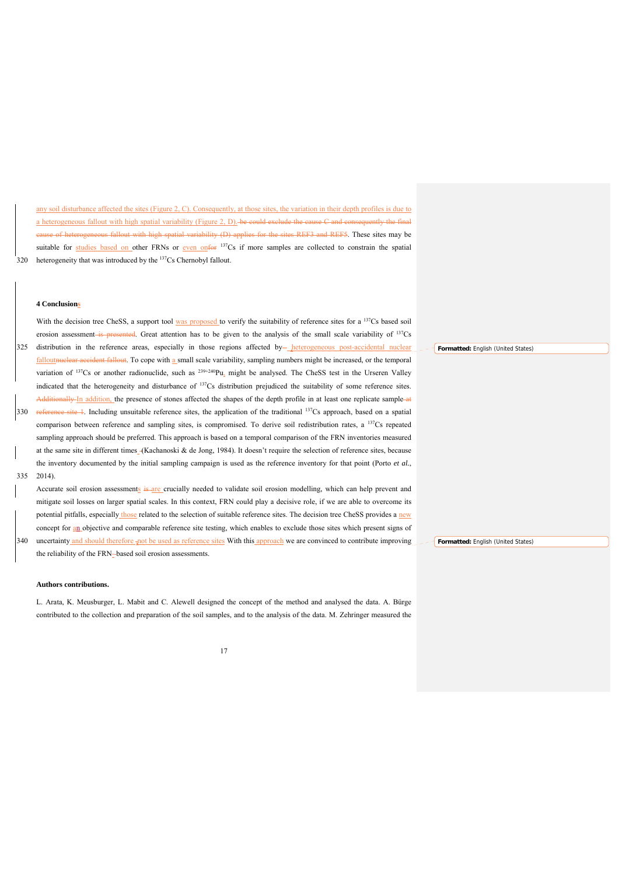any soil disturbance affected the sites (Figure 2, C). Consequently, at those sites, the variation in their depth profiles is due to a heterogeneous fallout with high spatial variability (Figure 2, D). be could exclude the cause C and e of heterogeneous fallout with high spatial variability (D) applies for the sites REF3 and REF5. These sites may be suitable for studies based on other FRNs or even onfor 137Cs if more samples are collected to constrain the spatial 320 heterogeneity that was introduced by the  $137Cs$  Chernobyl fallout.

# **4 Conclusions**

With the decision tree CheSS, a support tool was proposed to verify the suitability of reference sites for a <sup>137</sup>Cs based soil erosion assessment is presented. Great attention has to be given to the analysis of the small scale variability of <sup>137</sup>Cs 325 distribution in the reference areas, especially in those regions affected by-heterogeneous post-accidental nuclear falloutnuclear accident fallout. To cope with a small scale variability, sampling numbers might be increased, or the temporal variation of  $137Cs$  or another radionuclide, such as  $239+240Pu$ , might be analysed. The CheSS test in the Urseren Valley indicated that the heterogeneity and disturbance of 137Cs distribution prejudiced the suitability of some reference sites. Additionally-In addition, the presence of stones affected the shapes of the depth profile in at least one replicate sample-at 330 reference site 1. Including unsuitable reference sites, the application of the traditional  $137Cs$  approach, based on a spatial comparison between reference and sampling sites, is compromised. To derive soil redistribution rates, a 137Cs repeated sampling approach should be preferred. This approach is based on a temporal comparison of the FRN inventories measured at the same site in different times (Kachanoski & de Jong, 1984). It doesn't require the selection of reference sites, because the inventory documented by the initial sampling campaign is used as the reference inventory for that point (Porto *et al.*, 335 2014).

Accurate soil erosion assessments is are crucially needed to validate soil erosion modelling, which can help prevent and mitigate soil losses on larger spatial scales. In this context, FRN could play a decisive role, if we are able to overcome its potential pitfalls, especially those related to the selection of suitable reference sites. The decision tree CheSS provides a new concept for an objective and comparable reference site testing, which enables to exclude those sites which present signs of 340 uncertainty and should therefore and be used as reference sites With this approach we are convinced to contribute improving

the reliability of the FRN-based soil erosion assessments.

# **Authors contributions.**

L. Arata, K. Meusburger, L. Mabit and C. Alewell designed the concept of the method and analysed the data. A. Bürge contributed to the collection and preparation of the soil samples, and to the analysis of the data. M. Zehringer measured the

17

**Formatted:** Fnglish (United States)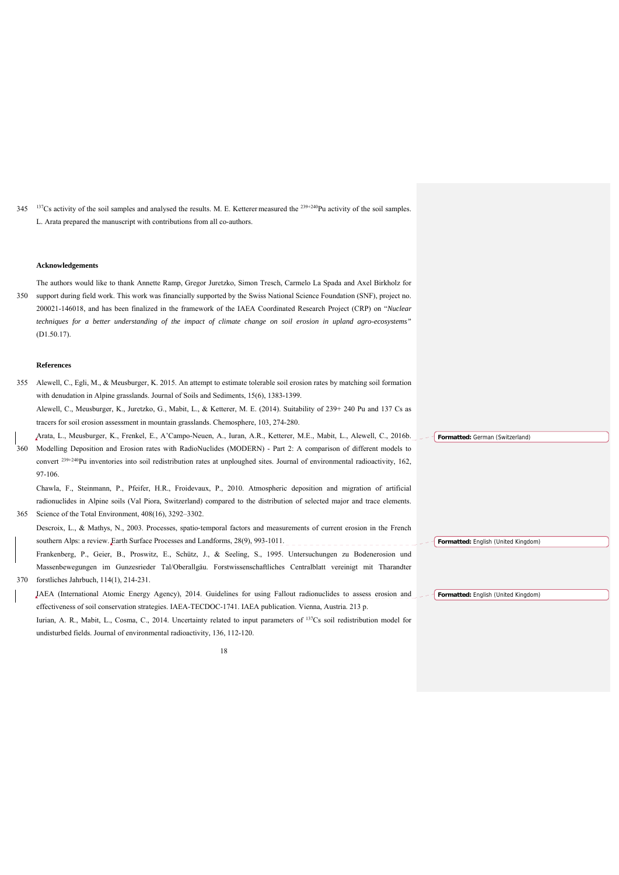345 <sup>137</sup>Cs activity of the soil samples and analysed the results. M. E. Ketterer measured the <sup>239+240</sup>Pu activity of the soil samples. L. Arata prepared the manuscript with contributions from all co-authors.

# **Acknowledgements**

The authors would like to thank Annette Ramp, Gregor Juretzko, Simon Tresch, Carmelo La Spada and Axel Birkholz for 350 support during field work. This work was financially supported by the Swiss National Science Foundation (SNF), project no. 200021-146018, and has been finalized in the framework of the IAEA Coordinated Research Project (CRP) on "*Nuclear techniques for a better understanding of the impact of climate change on soil erosion in upland agro-ecosystems"* (D1.50.17).

### **References**

- 355 Alewell, C., Egli, M., & Meusburger, K. 2015. An attempt to estimate tolerable soil erosion rates by matching soil formation with denudation in Alpine grasslands. Journal of Soils and Sediments, 15(6), 1383-1399. Alewell, C., Meusburger, K., Juretzko, G., Mabit, L., & Ketterer, M. E. (2014). Suitability of 239+ 240 Pu and 137 Cs as tracers for soil erosion assessment in mountain grasslands. Chemosphere, 103, 274-280. Arata, L., Meusburger, K., Frenkel, E., A'Campo-Neuen, A., Iuran, A.R., Ketterer, M.E., Mabit, L., Alewell, C., 2016b.
- 360 Modelling Deposition and Erosion rates with RadioNuclides (MODERN) Part 2: A comparison of different models to convert 239+240Pu inventories into soil redistribution rates at unploughed sites. Journal of environmental radioactivity, 162, 97-106.

Chawla, F., Steinmann, P., Pfeifer, H.R., Froidevaux, P., 2010. Atmospheric deposition and migration of artificial radionuclides in Alpine soils (Val Piora, Switzerland) compared to the distribution of selected major and trace elements. 365 Science of the Total Environment, 408(16), 3292–3302.

Descroix, L., & Mathys, N., 2003. Processes, spatio-temporal factors and measurements of current erosion in the French southern Alps: a review. Earth Surface Processes and Landforms, 28(9), 993-1011. Frankenberg, P., Geier, B., Proswitz, E., Schütz, J., & Seeling, S., 1995. Untersuchungen zu Bodenerosion und Massenbewegungen im Gunzesrieder Tal/Oberallgäu. Forstwissenschaftliches Centralblatt vereinigt mit Tharandter 370 forstliches Jahrbuch, 114(1), 214-231.

IAEA (International Atomic Energy Agency), 2014. Guidelines for using Fallout radionuclides to assess erosion and effectiveness of soil conservation strategies. IAEA-TECDOC-1741. IAEA publication. Vienna, Austria. 213 p. Iurian, A. R., Mabit, L., Cosma, C., 2014. Uncertainty related to input parameters of 137Cs soil redistribution model for undisturbed fields. Journal of environmental radioactivity, 136, 112-120.

18

**Formatted:** English (United Kingdom)

**Formatted:** German (Switzerland)

**Formatted:** English (United Kingdom)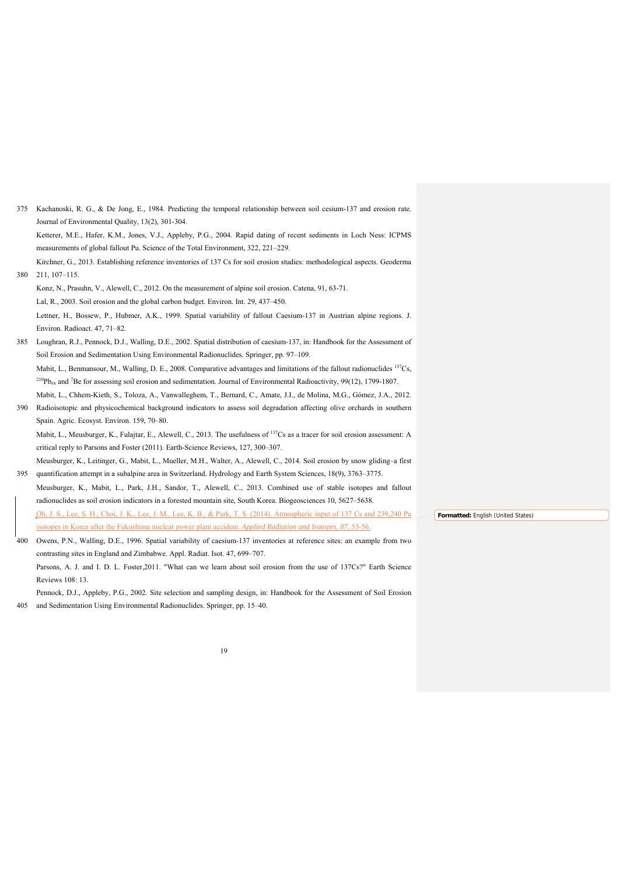Journal of Environmental Quality, 13(2), 301-304. Ketterer, M.E., Hafer, K.M., Jones, V.J., Appleby, P.G., 2004. Rapid dating of recent sediments in Loch Ness: ICPMS measurements of global fallout Pu. Science of the Total Environment, 322, 221–229. Kirchner, G., 2013. Establishing reference inventories of 137 Cs for soil erosion studies: methodological aspects. Geoderma 380 211, 107–115. Konz, N., Prasuhn, V., Alewell, C., 2012. On the measurement of alpine soil erosion. Catena, 91, 63-71. Lal, R., 2003. Soil erosion and the global carbon budget. Environ. Int. 29, 437–450. Lettner, H., Bossew, P., Hubmer, A.K., 1999. Spatial variability of fallout Caesium-137 in Austrian alpine regions. J. Environ. Radioact. 47, 71–82. 385 Loughran, R.J., Pennock, D.J., Walling, D.E., 2002. Spatial distribution of caesium-137, in: Handbook for the Assessment of Soil Erosion and Sedimentation Using Environmental Radionuclides. Springer, pp. 97–109. Mabit, L., Benmansour, M., Walling, D. E., 2008. Comparative advantages and limitations of the fallout radionuclides <sup>137</sup>Cs,  $^{210}P_{\text{Bex}}$  and <sup>7</sup>Be for assessing soil erosion and sedimentation. Journal of Environmental Radioactivity, 99(12), 1799-1807. Mabit, L., Chhem-Kieth, S., Toloza, A., Vanwalleghem, T., Bernard, C., Amate, J.I., de Molina, M.G., Gómez, J.A., 2012. 390 Radioisotopic and physicochemical background indicators to assess soil degradation affecting olive orchards in southern Spain. Agric. Ecosyst. Environ. 159, 70–80. Mabit, L., Meusburger, K., Fulajtar, E., Alewell, C., 2013. The usefulness of <sup>137</sup>Cs as a tracer for soil erosion assessment: A critical reply to Parsons and Foster (2011). Earth-Science Reviews, 127, 300–307. Meusburger, K., Leitinger, G., Mabit, L., Mueller, M.H., Walter, A., Alewell, C., 2014. Soil erosion by snow gliding–a first 395 quantification attempt in a subalpine area in Switzerland. Hydrology and Earth System Sciences, 18(9), 3763–3775. Meusburger, K., Mabit, L., Park, J.H., Sandor, T., Alewell, C., 2013. Combined use of stable isotopes and fallout radionuclides as soil erosion indicators in a forested mountain site, South Korea. Biogeosciences 10, 5627–5638. Oh, J. S., Lee, S. H., Choi, J. K., Lee, J. M., Lee, K. B., & Park, T. S. (2014). Atmospheric input of 137 Cs and 239,240 Pu isotopes in Korea after the Fukushima nuclear power plant accident. *Applied Radiation and Isotopes*, *87*, 53-56. 400 Owens, P.N., Walling, D.E., 1996. Spatial variability of caesium-137 inventories at reference sites: an example from two contrasting sites in England and Zimbabwe. Appl. Radiat. Isot. 47, 699–707. **Formatted:** English (United States)

375 Kachanoski, R. G., & De Jong, E., 1984. Predicting the temporal relationship between soil cesium-137 and erosion rate.

19

Parsons, A. J. and I. D. L. Foster, 2011. "What can we learn about soil erosion from the use of 137Cs?" Earth Science

Pennock, D.J., Appleby, P.G., 2002. Site selection and sampling design, in: Handbook for the Assessment of Soil Erosion

405 and Sedimentation Using Environmental Radionuclides. Springer, pp. 15–40.

Reviews 108: 13.